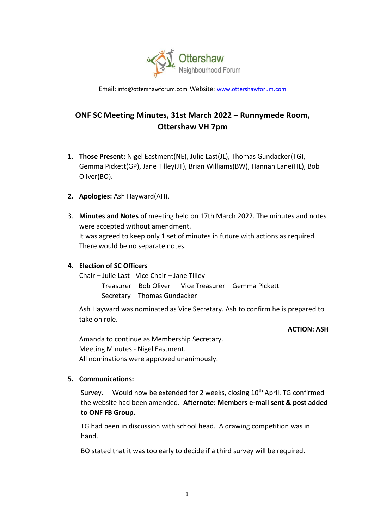

Email: [info@ottershawforum.com](mailto:info@ottershawforum.com) Website: [www.ottershawforum.com](http://www.ottershawforum.com/)

# **ONF SC Meeting Minutes, 31st March 2022 – Runnymede Room, Ottershaw VH 7pm**

- **1. Those Present:** Nigel Eastment(NE), Julie Last(JL), Thomas Gundacker(TG), Gemma Pickett(GP), Jane Tilley(JT), Brian Williams(BW), Hannah Lane(HL), Bob Oliver(BO).
- **2. Apologies:** Ash Hayward(AH).
- 3. **Minutes and Notes** of meeting held on 17th March 2022. The minutes and notes were accepted without amendment. It was agreed to keep only 1 set of minutes in future with actions as required. There would be no separate notes.

#### **4. Election of SC Officers**

Chair – Julie Last Vice Chair – Jane Tilley Treasurer – Bob Oliver Vice Treasurer – Gemma Pickett Secretary – Thomas Gundacker

Ash Hayward was nominated as Vice Secretary. Ash to confirm he is prepared to take on role.

#### **ACTION: ASH**

Amanda to continue as Membership Secretary. Meeting Minutes - Nigel Eastment. All nominations were approved unanimously.

#### **5. Communications:**

 $Surve$  – Would now be extended for 2 weeks, closing 10<sup>th</sup> April. TG confirmed the website had been amended. **Afternote: Members e-mail sent & post added to ONF FB Group.**

TG had been in discussion with school head. A drawing competition was in hand.

BO stated that it was too early to decide if a third survey will be required.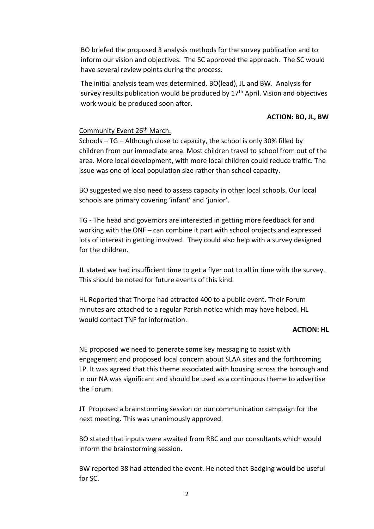BO briefed the proposed 3 analysis methods for the survey publication and to inform our vision and objectives. The SC approved the approach. The SC would have several review points during the process.

The initial analysis team was determined. BO(lead), JL and BW. Analysis for survey results publication would be produced by  $17<sup>th</sup>$  April. Vision and objectives work would be produced soon after.

#### **ACTION: BO, JL, BW**

#### Community Event 26<sup>th</sup> March.

Schools – TG – Although close to capacity, the school is only 30% filled by children from our immediate area. Most children travel to school from out of the area. More local development, with more local children could reduce traffic. The issue was one of local population size rather than school capacity.

BO suggested we also need to assess capacity in other local schools. Our local schools are primary covering 'infant' and 'junior'.

TG - The head and governors are interested in getting more feedback for and working with the ONF – can combine it part with school projects and expressed lots of interest in getting involved. They could also help with a survey designed for the children.

JL stated we had insufficient time to get a flyer out to all in time with the survey. This should be noted for future events of this kind.

HL Reported that Thorpe had attracted 400 to a public event. Their Forum minutes are attached to a regular Parish notice which may have helped. HL would contact TNF for information.

#### **ACTION: HL**

NE proposed we need to generate some key messaging to assist with engagement and proposed local concern about SLAA sites and the forthcoming LP. It was agreed that this theme associated with housing across the borough and in our NA was significant and should be used as a continuous theme to advertise the Forum.

**JT** Proposed a brainstorming session on our communication campaign for the next meeting. This was unanimously approved.

BO stated that inputs were awaited from RBC and our consultants which would inform the brainstorming session.

BW reported 38 had attended the event. He noted that Badging would be useful for SC.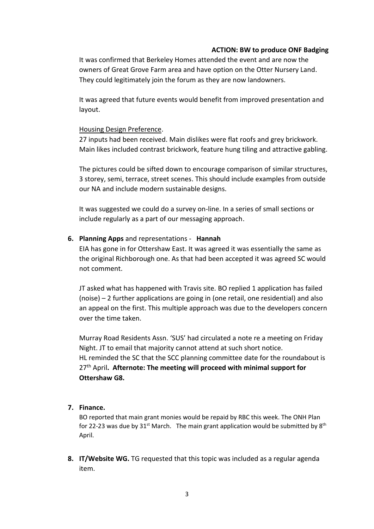### **ACTION: BW to produce ONF Badging**

It was confirmed that Berkeley Homes attended the event and are now the owners of Great Grove Farm area and have option on the Otter Nursery Land. They could legitimately join the forum as they are now landowners.

It was agreed that future events would benefit from improved presentation and layout.

### Housing Design Preference.

27 inputs had been received. Main dislikes were flat roofs and grey brickwork. Main likes included contrast brickwork, feature hung tiling and attractive gabling.

The pictures could be sifted down to encourage comparison of similar structures, 3 storey, semi, terrace, street scenes. This should include examples from outside our NA and include modern sustainable designs.

It was suggested we could do a survey on-line. In a series of small sections or include regularly as a part of our messaging approach.

### **6. Planning Apps** and representations - **Hannah**

EIA has gone in for Ottershaw East. It was agreed it was essentially the same as the original Richborough one. As that had been accepted it was agreed SC would not comment.

JT asked what has happened with Travis site. BO replied 1 application has failed (noise) – 2 further applications are going in (one retail, one residential) and also an appeal on the first. This multiple approach was due to the developers concern over the time taken.

Murray Road Residents Assn. 'SUS' had circulated a note re a meeting on Friday Night. JT to email that majority cannot attend at such short notice. HL reminded the SC that the SCC planning committee date for the roundabout is 27th April**. Afternote: The meeting will proceed with minimal support for Ottershaw G8.**

### **7. Finance.**

BO reported that main grant monies would be repaid by RBC this week. The ONH Plan for 22-23 was due by  $31^{st}$  March. The main grant application would be submitted by  $8^{th}$ April.

**8. IT/Website WG.** TG requested that this topic was included as a regular agenda item.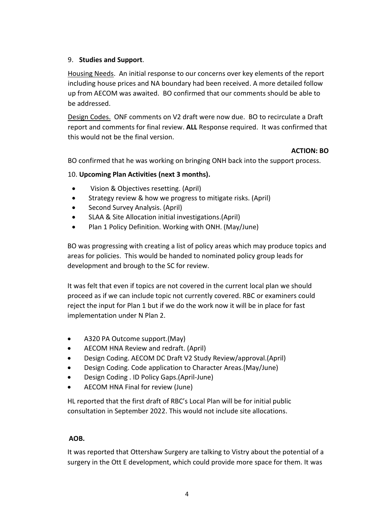## 9. **Studies and Support**.

Housing Needs. An initial response to our concerns over key elements of the report including house prices and NA boundary had been received. A more detailed follow up from AECOM was awaited. BO confirmed that our comments should be able to be addressed.

Design Codes. ONF comments on V2 draft were now due. BO to recirculate a Draft report and comments for final review. **ALL** Response required. It was confirmed that this would not be the final version.

### **ACTION: BO**

BO confirmed that he was working on bringing ONH back into the support process.

## 10. **Upcoming Plan Activities (next 3 months).**

- Vision & Objectives resetting. (April)
- Strategy review & how we progress to mitigate risks. (April)
- Second Survey Analysis. (April)
- SLAA & Site Allocation initial investigations.(April)
- Plan 1 Policy Definition. Working with ONH. (May/June)

BO was progressing with creating a list of policy areas which may produce topics and areas for policies. This would be handed to nominated policy group leads for development and brough to the SC for review.

It was felt that even if topics are not covered in the current local plan we should proceed as if we can include topic not currently covered. RBC or examiners could reject the input for Plan 1 but if we do the work now it will be in place for fast implementation under N Plan 2.

- A320 PA Outcome support.(May)
- AECOM HNA Review and redraft. (April)
- Design Coding. AECOM DC Draft V2 Study Review/approval.(April)
- Design Coding. Code application to Character Areas.(May/June)
- Design Coding . ID Policy Gaps.(April-June)
- AECOM HNA Final for review (June)

HL reported that the first draft of RBC's Local Plan will be for initial public consultation in September 2022. This would not include site allocations.

### **AOB.**

It was reported that Ottershaw Surgery are talking to Vistry about the potential of a surgery in the Ott E development, which could provide more space for them. It was